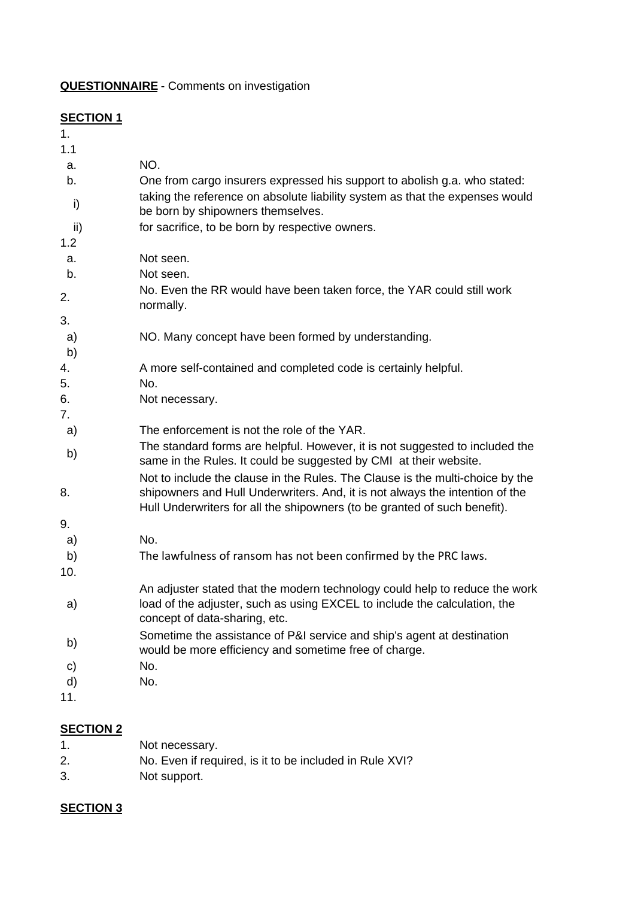**QUESTIONNAIRE** - Comments on investigation

## **SECTION 1**

| 1.       |                                                                                                                                                           |
|----------|-----------------------------------------------------------------------------------------------------------------------------------------------------------|
| 1.1      |                                                                                                                                                           |
| a.       | NO.                                                                                                                                                       |
| b.       | One from cargo insurers expressed his support to abolish g.a. who stated:                                                                                 |
| i)       | taking the reference on absolute liability system as that the expenses would<br>be born by shipowners themselves.                                         |
| ii)      | for sacrifice, to be born by respective owners.                                                                                                           |
| 1.2      |                                                                                                                                                           |
| a.       | Not seen.                                                                                                                                                 |
| b.       | Not seen.                                                                                                                                                 |
| 2.       | No. Even the RR would have been taken force, the YAR could still work<br>normally.                                                                        |
| 3.       |                                                                                                                                                           |
| a)<br>b) | NO. Many concept have been formed by understanding.                                                                                                       |
| 4.       | A more self-contained and completed code is certainly helpful.                                                                                            |
| 5.       | No.                                                                                                                                                       |
| 6.       | Not necessary.                                                                                                                                            |
| 7.       |                                                                                                                                                           |
| a)       | The enforcement is not the role of the YAR.                                                                                                               |
| b)       | The standard forms are helpful. However, it is not suggested to included the<br>same in the Rules. It could be suggested by CMI at their website.         |
|          | Not to include the clause in the Rules. The Clause is the multi-choice by the                                                                             |
| 8.       | shipowners and Hull Underwriters. And, it is not always the intention of the<br>Hull Underwriters for all the shipowners (to be granted of such benefit). |
| 9.       |                                                                                                                                                           |
| a)       | No.                                                                                                                                                       |
| b)       | The lawfulness of ransom has not been confirmed by the PRC laws.                                                                                          |
| 10.      |                                                                                                                                                           |
|          | An adjuster stated that the modern technology could help to reduce the work                                                                               |
| a)       | load of the adjuster, such as using EXCEL to include the calculation, the<br>concept of data-sharing, etc.                                                |
| b)       | Sometime the assistance of P&I service and ship's agent at destination<br>would be more efficiency and sometime free of charge.                           |
| C)       | No.                                                                                                                                                       |
| d)       | No.                                                                                                                                                       |
| 11.      |                                                                                                                                                           |
|          |                                                                                                                                                           |

## **SECTION 2**

| 1. | Not necessary.                                          |
|----|---------------------------------------------------------|
| 2. | No. Even if required, is it to be included in Rule XVI? |
| 3. | Not support.                                            |

## **SECTION 3**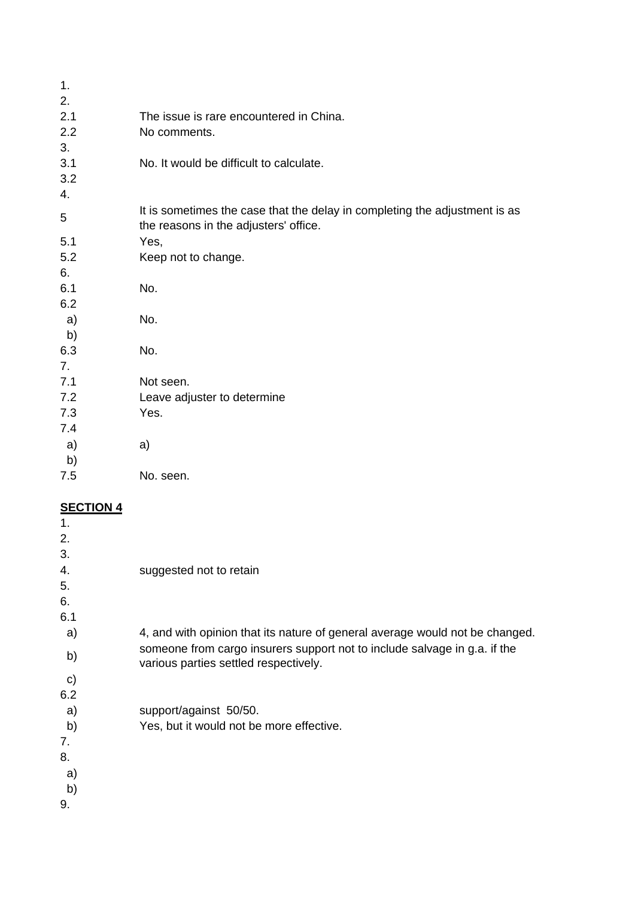| 1.  |                                                                                                                     |
|-----|---------------------------------------------------------------------------------------------------------------------|
| 2.  |                                                                                                                     |
| 2.1 | The issue is rare encountered in China.                                                                             |
| 2.2 | No comments.                                                                                                        |
| 3.  |                                                                                                                     |
| 3.1 | No. It would be difficult to calculate.                                                                             |
| 3.2 |                                                                                                                     |
| 4.  |                                                                                                                     |
| 5   | It is sometimes the case that the delay in completing the adjustment is as<br>the reasons in the adjusters' office. |
| 5.1 | Yes,                                                                                                                |
| 5.2 | Keep not to change.                                                                                                 |
| 6.  |                                                                                                                     |
| 6.1 | No.                                                                                                                 |
| 6.2 |                                                                                                                     |
| a)  | No.                                                                                                                 |
| b)  |                                                                                                                     |
| 6.3 | No.                                                                                                                 |
| 7.  |                                                                                                                     |
| 7.1 | Not seen.                                                                                                           |
| 7.2 | Leave adjuster to determine                                                                                         |
| 7.3 | Yes.                                                                                                                |
| 7.4 |                                                                                                                     |
| a)  | a)                                                                                                                  |
| b)  |                                                                                                                     |
| 7.5 | No. seen.                                                                                                           |
|     |                                                                                                                     |
|     |                                                                                                                     |

## **SECTION 4**

| $\mathbf 1$ . |                                                                                                                    |
|---------------|--------------------------------------------------------------------------------------------------------------------|
| 2.            |                                                                                                                    |
| 3.            |                                                                                                                    |
| 4.            | suggested not to retain                                                                                            |
| 5.            |                                                                                                                    |
| 6.            |                                                                                                                    |
| 6.1           |                                                                                                                    |
| a)            | 4, and with opinion that its nature of general average would not be changed.                                       |
| b)            | someone from cargo insurers support not to include salvage in g.a. if the<br>various parties settled respectively. |
| $\mathbf{C}$  |                                                                                                                    |
| 6.2           |                                                                                                                    |
| a)            | support/against 50/50.                                                                                             |
| b)            | Yes, but it would not be more effective.                                                                           |
| 7.            |                                                                                                                    |
| 8.            |                                                                                                                    |
| a)            |                                                                                                                    |
| b)            |                                                                                                                    |
| 9.            |                                                                                                                    |